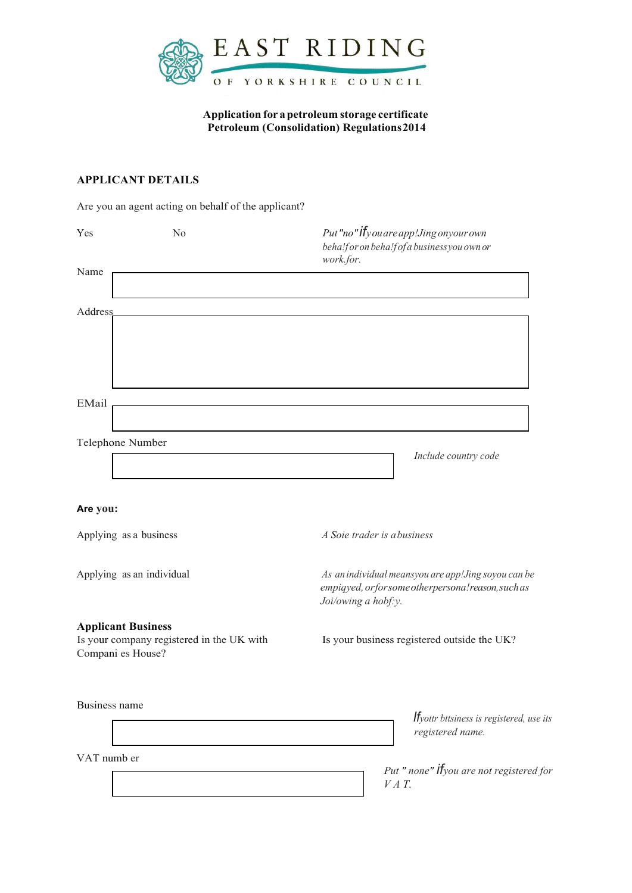

**Application for apetroleum storage certificate Petroleum (Consolidation) Regulations2014**

## **APPLICANT DETAILS**

Are you an agent acting on behalf of the applicant?

| Yes                  | No                                                                                          | work.for.           | Put"no" <b>if</b> you are app! Jing onyour own<br>beha!for on beha!fofa businessyou own or                  |
|----------------------|---------------------------------------------------------------------------------------------|---------------------|-------------------------------------------------------------------------------------------------------------|
| Name                 |                                                                                             |                     |                                                                                                             |
| Address              |                                                                                             |                     |                                                                                                             |
| EMail                |                                                                                             |                     |                                                                                                             |
|                      | Telephone Number                                                                            |                     | Include country code                                                                                        |
| Are you:             |                                                                                             |                     |                                                                                                             |
|                      | Applying as a business                                                                      |                     | A Soie trader is abusiness                                                                                  |
|                      | Applying as an individual                                                                   | Joi/owing a hobf:y. | As an individual meansyou are app!Jing soyou can be<br>empiqyed, or for some other persona! reason, such as |
|                      | <b>Applicant Business</b><br>Is your company registered in the UK with<br>Compani es House? |                     | Is your business registered outside the UK?                                                                 |
| <b>Business name</b> |                                                                                             |                     | <b>If</b> yottr bttsiness is registered, use its<br>registered name.                                        |
| VAT numb er          |                                                                                             |                     | Put " none" <b>if</b> you are not registered for<br>$VAT$ .                                                 |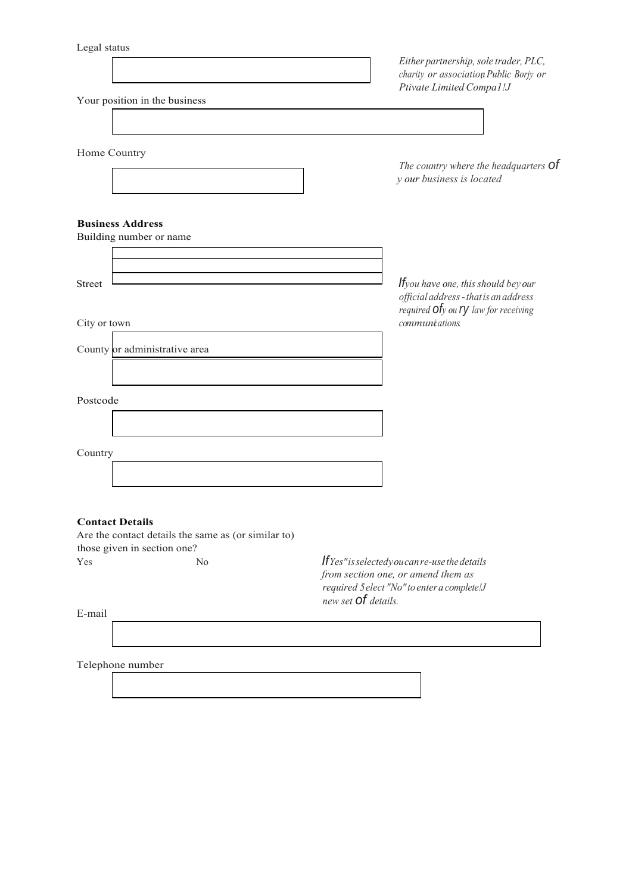| Legar status                                                                  | Either partnership, sole trader, PLC,                                                                                                 |
|-------------------------------------------------------------------------------|---------------------------------------------------------------------------------------------------------------------------------------|
|                                                                               | charity or association Public Borjy or<br>Ptivate Limited Compal!J                                                                    |
| Your position in the business                                                 |                                                                                                                                       |
|                                                                               |                                                                                                                                       |
| Home Country                                                                  |                                                                                                                                       |
|                                                                               | The country where the headquarters Of<br>y our business is located                                                                    |
| <b>Business Address</b>                                                       |                                                                                                                                       |
| Building number or name                                                       |                                                                                                                                       |
|                                                                               |                                                                                                                                       |
| <b>Street</b>                                                                 | <b>If</b> you have one, this should bey our<br>official address - that is an address                                                  |
| City or town                                                                  | required $of$ y ou $ry$ law for receiving<br>communications.                                                                          |
| County or administrative area                                                 |                                                                                                                                       |
|                                                                               |                                                                                                                                       |
| Postcode                                                                      |                                                                                                                                       |
|                                                                               |                                                                                                                                       |
|                                                                               |                                                                                                                                       |
| Country                                                                       |                                                                                                                                       |
|                                                                               |                                                                                                                                       |
|                                                                               |                                                                                                                                       |
| <b>Contact Details</b><br>Are the contact details the same as (or similar to) |                                                                                                                                       |
| those given in section one?                                                   |                                                                                                                                       |
| N <sub>0</sub><br>Yes                                                         | $If Yes "is selected you can re-use the details$<br>from section one, or amend them as<br>required 5 elect "No" to enter a complete!J |
| E-mail                                                                        | new set <b>Of</b> details.                                                                                                            |
|                                                                               |                                                                                                                                       |
|                                                                               |                                                                                                                                       |

Telephone number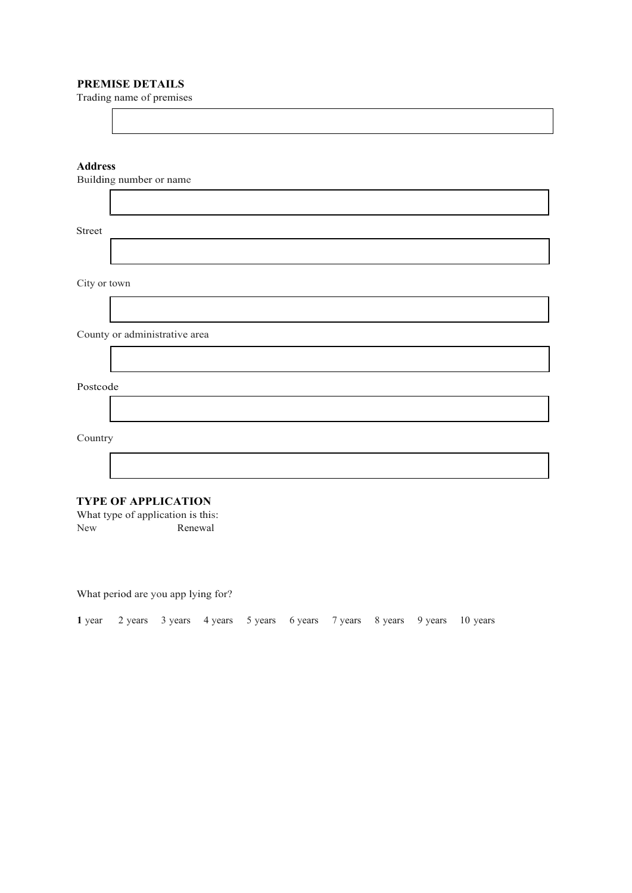## **PREMISE DETAILS**

Trading name of premises

| Building number or name |                               |  |
|-------------------------|-------------------------------|--|
|                         |                               |  |
|                         |                               |  |
|                         | <b>Address</b>                |  |
|                         |                               |  |
|                         |                               |  |
|                         | Street                        |  |
|                         |                               |  |
|                         | City or town                  |  |
|                         |                               |  |
|                         | County or administrative area |  |
|                         |                               |  |
|                         | Postcode                      |  |
|                         |                               |  |
|                         | Country                       |  |
|                         |                               |  |
|                         | <b>TVPE OF APPLICATION</b>    |  |

**TYPE OF APPLICATION**

What type of application is this:<br>New Renewal Renewal

What period are you app lying for?

|  |  |  |  |  |  |  |  | 1 year 2 years 3 years 4 years 5 years 6 years 7 years 8 years 9 years 10 years |  |  |  |
|--|--|--|--|--|--|--|--|---------------------------------------------------------------------------------|--|--|--|
|--|--|--|--|--|--|--|--|---------------------------------------------------------------------------------|--|--|--|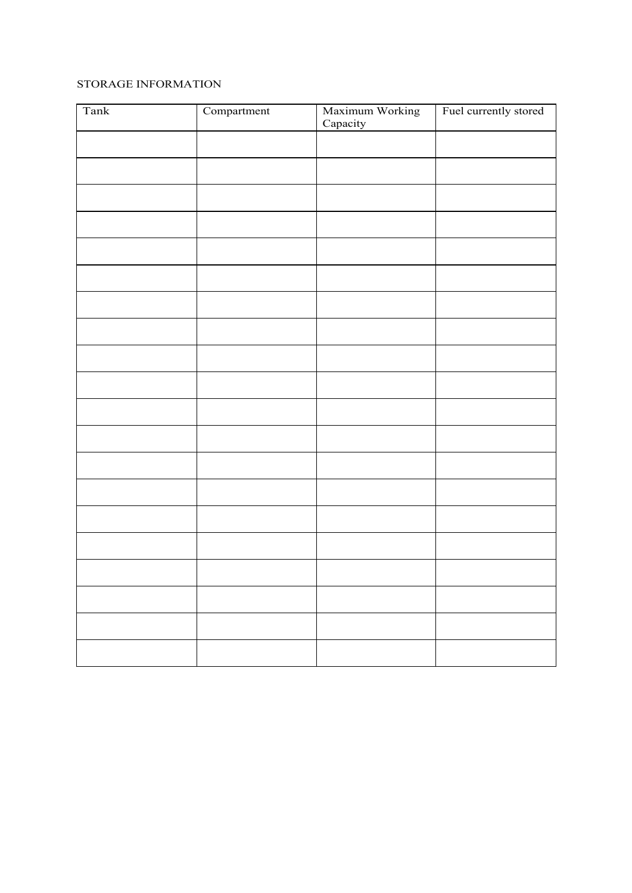## STORAGE INFORMATION

| Tank | Compartment | Maximum Working<br>Capacity | Fuel currently stored |
|------|-------------|-----------------------------|-----------------------|
|      |             |                             |                       |
|      |             |                             |                       |
|      |             |                             |                       |
|      |             |                             |                       |
|      |             |                             |                       |
|      |             |                             |                       |
|      |             |                             |                       |
|      |             |                             |                       |
|      |             |                             |                       |
|      |             |                             |                       |
|      |             |                             |                       |
|      |             |                             |                       |
|      |             |                             |                       |
|      |             |                             |                       |
|      |             |                             |                       |
|      |             |                             |                       |
|      |             |                             |                       |
|      |             |                             |                       |
|      |             |                             |                       |
|      |             |                             |                       |